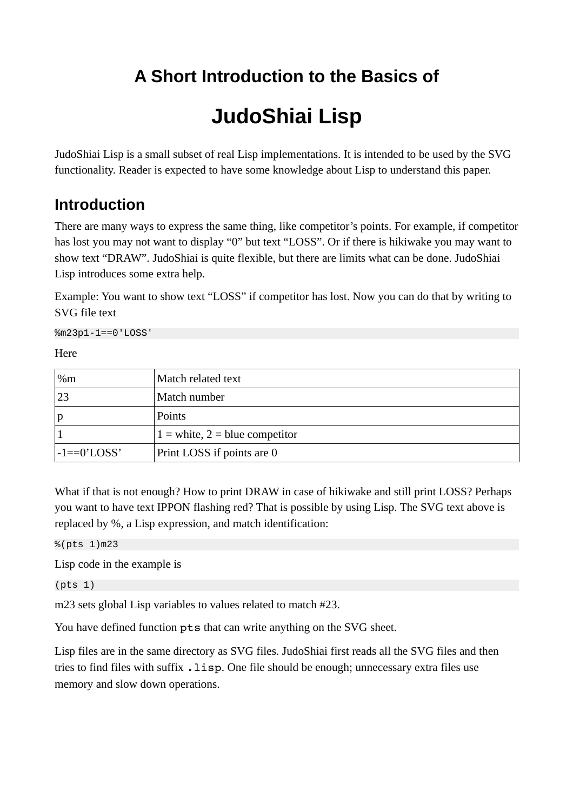# **A Short Introduction to the Basics of**

# **JudoShiai Lisp**

JudoShiai Lisp is a small subset of real Lisp implementations. It is intended to be used by the SVG functionality. Reader is expected to have some knowledge about Lisp to understand this paper.

## **Introduction**

There are many ways to express the same thing, like competitor's points. For example, if competitor has lost you may not want to display "0" but text "LOSS". Or if there is hikiwake you may want to show text "DRAW". JudoShiai is quite flexible, but there are limits what can be done. JudoShiai Lisp introduces some extra help.

Example: You want to show text "LOSS" if competitor has lost. Now you can do that by writing to SVG file text

%m23p1-1==0'LOSS'

Here

| %m              | Match related text               |
|-----------------|----------------------------------|
| 23              | Match number                     |
| $\mathbf{p}$    | Points                           |
|                 | $1 =$ white, 2 = blue competitor |
| $ -1 == 0'LOS'$ | Print LOSS if points are 0       |

What if that is not enough? How to print DRAW in case of hikiwake and still print LOSS? Perhaps you want to have text IPPON flashing red? That is possible by using Lisp. The SVG text above is replaced by %, a Lisp expression, and match identification:

%(pts 1)m23

Lisp code in the example is

(pts 1)

m23 sets global Lisp variables to values related to match #23.

You have defined function pts that can write anything on the SVG sheet.

Lisp files are in the same directory as SVG files. JudoShiai first reads all the SVG files and then tries to find files with suffix . Lisp. One file should be enough; unnecessary extra files use memory and slow down operations.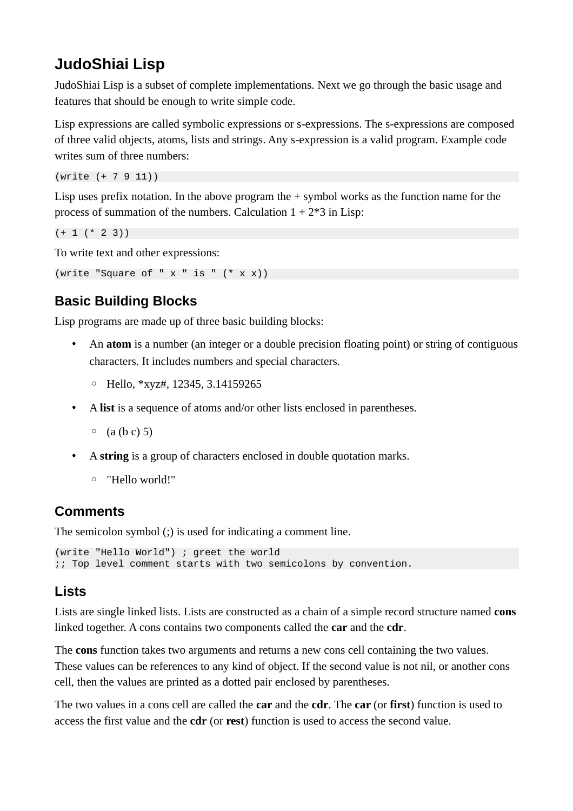# **JudoShiai Lisp**

JudoShiai Lisp is a subset of complete implementations. Next we go through the basic usage and features that should be enough to write simple code.

Lisp expressions are called symbolic expressions or s-expressions. The s-expressions are composed of three valid objects, atoms, lists and strings. Any s-expression is a valid program. Example code writes sum of three numbers:

```
(write (+ 7 9 11))
```
Lisp uses prefix notation. In the above program the + symbol works as the function name for the process of summation of the numbers. Calculation  $1 + 2*3$  in Lisp:

 $(+ 1 (* 2 3))$ 

To write text and other expressions:

```
(write "Square of " x " is " (* x x))
```
### **Basic Building Blocks**

Lisp programs are made up of three basic building blocks:

- An **atom** is a number (an integer or a double precision floating point) or string of contiguous characters. It includes numbers and special characters.
	- Hello, \*xyz#, 12345, 3.14159265
- A **list** is a sequence of atoms and/or other lists enclosed in parentheses.
	- $\circ$  (a (b c) 5)
- A **string** is a group of characters enclosed in double quotation marks.
	- "Hello world!"

#### **Comments**

The semicolon symbol (;) is used for indicating a comment line.

```
(write "Hello World") ; greet the world
;; Top level comment starts with two semicolons by convention.
```
#### **Lists**

Lists are single linked lists. Lists are constructed as a chain of a simple record structure named **cons** linked together. A cons contains two components called the **car** and the **cdr**.

The **cons** function takes two arguments and returns a new cons cell containing the two values. These values can be references to any kind of object. If the second value is not nil, or another cons cell, then the values are printed as a dotted pair enclosed by parentheses.

The two values in a cons cell are called the **car** and the **cdr**. The **car** (or **first**) function is used to access the first value and the **cdr** (or **rest**) function is used to access the second value.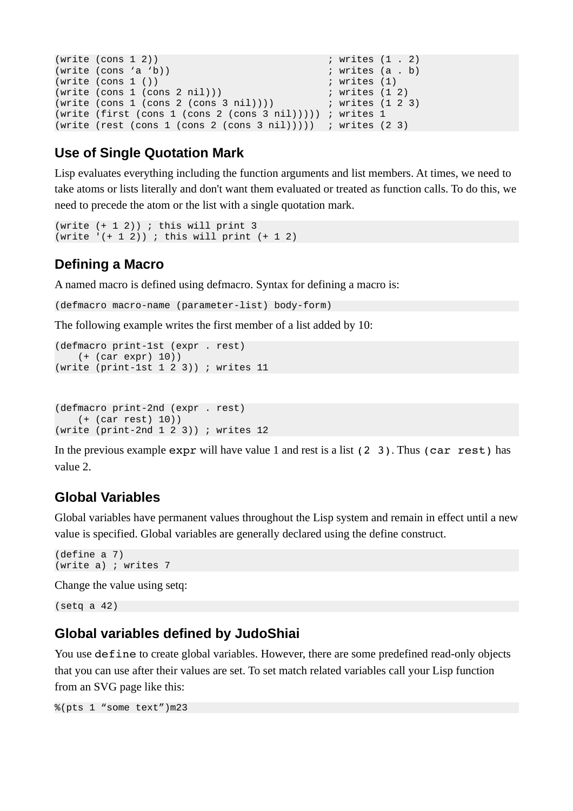```
(write (cons 1 2)) ; writes (1 . 2)
(write (cons 'a 'b)) ; writes (a \cdot b)(write (cons 1()) ; writes (1)(write (cons 1 (cons 2 nil))) ; writes (1 2)
(write (cons 1 (cons 2 (cons 3 nil))))(write (first (cons 1 (cons 2 (cons 3 nil))))) ; writes 1
(write (rest (cons 1 (cons 2 (cons 3 nil)))))) ; writes (2\ 3)
```
### **Use of Single Quotation Mark**

Lisp evaluates everything including the function arguments and list members. At times, we need to take atoms or lists literally and don't want them evaluated or treated as function calls. To do this, we need to precede the atom or the list with a single quotation mark.

```
(write (+ 1 2)) ; this will print 3
(write ( + 1 2)) ; this will print ( + 1 2)
```
### **Defining a Macro**

A named macro is defined using defmacro. Syntax for defining a macro is:

```
(defmacro macro-name (parameter-list) body-form)
```
The following example writes the first member of a list added by 10:

```
(defmacro print-1st (expr . rest)
     (+ (car expr) 10))
(write (print-1st 1 2 3)) ; writes 11
```

```
(defmacro print-2nd (expr . rest)
     (+ (car rest) 10))
(write (print-2nd 1 2 3)) ; writes 12
```
In the previous example  $\exp r$  will have value 1 and rest is a list (2 3). Thus (car rest) has value 2.

#### **Global Variables**

Global variables have permanent values throughout the Lisp system and remain in effect until a new value is specified. Global variables are generally declared using the define construct.

```
(define a 7)
(write a) ; writes 7
```
Change the value using setq:

(setq a 42)

#### **Global variables defined by JudoShiai**

You use define to create global variables. However, there are some predefined read-only objects that you can use after their values are set. To set match related variables call your Lisp function from an SVG page like this:

```
%(pts 1 "some text")m23
```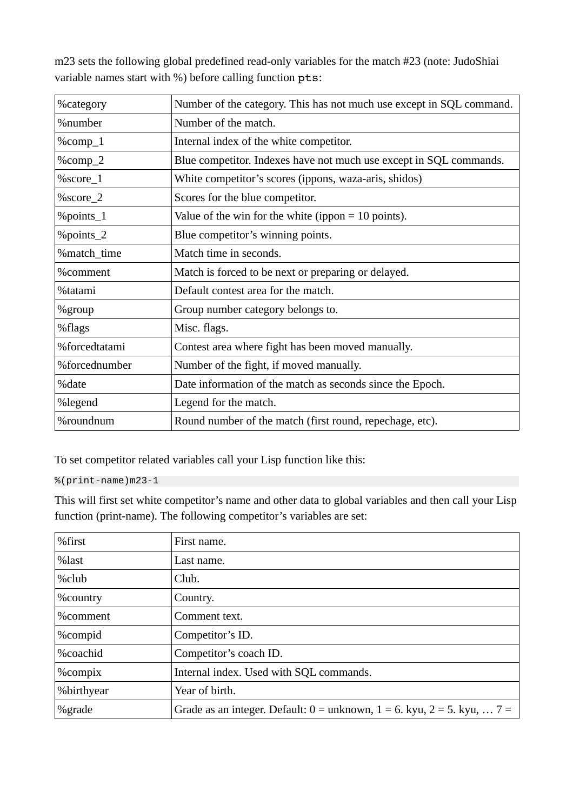m23 sets the following global predefined read-only variables for the match #23 (note: JudoShiai variable names start with %) before calling function pts:

| %category       | Number of the category. This has not much use except in SQL command. |
|-----------------|----------------------------------------------------------------------|
| %number         | Number of the match.                                                 |
| $%comp_1$       | Internal index of the white competitor.                              |
| $%comp_2$       | Blue competitor. Indexes have not much use except in SQL commands.   |
| %score 1        | White competitor's scores (ippons, waza-aris, shidos)                |
| %score_2        | Scores for the blue competitor.                                      |
| %points_1       | Value of the win for the white (ippon $=$ 10 points).                |
| %points_2       | Blue competitor's winning points.                                    |
| %match_time     | Match time in seconds.                                               |
| <b>%comment</b> | Match is forced to be next or preparing or delayed.                  |
| %tatami         | Default contest area for the match.                                  |
| %group          | Group number category belongs to.                                    |
| %flags          | Misc. flags.                                                         |
| %forcedtatami   | Contest area where fight has been moved manually.                    |
| %forcednumber   | Number of the fight, if moved manually.                              |
| %date           | Date information of the match as seconds since the Epoch.            |
| %legend         | Legend for the match.                                                |
| %roundnum       | Round number of the match (first round, repechage, etc).             |

To set competitor related variables call your Lisp function like this:

#### %(print-name)m23-1

This will first set white competitor's name and other data to global variables and then call your Lisp function (print-name). The following competitor's variables are set:

| %first          | First name.                                                                      |
|-----------------|----------------------------------------------------------------------------------|
| %last           | Last name.                                                                       |
| %club           | Club.                                                                            |
| <b>%country</b> | Country.                                                                         |
| <b>%comment</b> | Comment text.                                                                    |
| %compid         | Competitor's ID.                                                                 |
| <b>%coachid</b> | Competitor's coach ID.                                                           |
| $%$ compix      | Internal index. Used with SQL commands.                                          |
| %birthyear      | Year of birth.                                                                   |
| %grade          | Grade as an integer. Default: $0 =$ unknown, $1 = 6$ . kyu, $2 = 5$ . kyu, $7 =$ |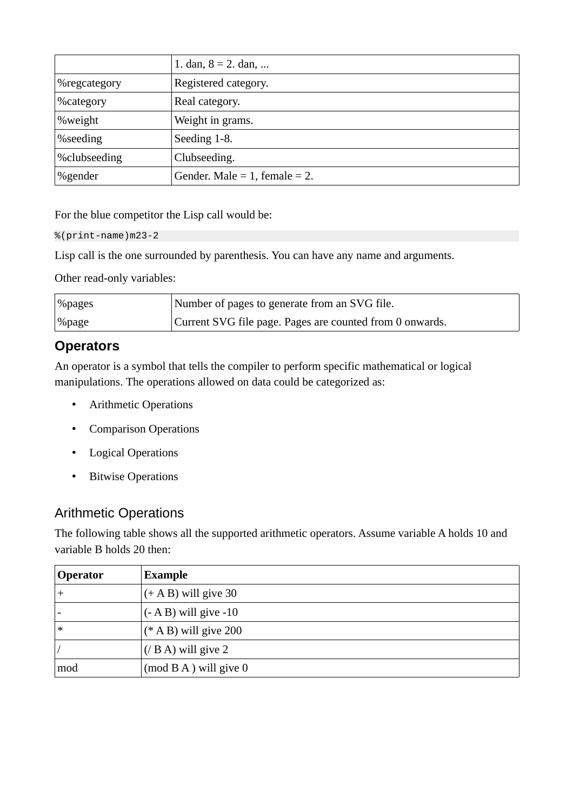|                  | 1. dan, $8 = 2$ . dan,              |
|------------------|-------------------------------------|
| %regcategory     | Registered category.                |
| <b>%category</b> | Real category.                      |
| %weight          | Weight in grams.                    |
| %seeding         | Seeding 1-8.                        |
| %clubseeding     | Clubseeding.                        |
| %gender          | Gender. Male = $1$ , female = $2$ . |

For the blue competitor the Lisp call would be:

%(print-name)m23-2

Lisp call is the one surrounded by parenthesis. You can have any name and arguments.

Other read-only variables:

| $\sqrt{^{\circ}}$ % $\sqrt{^{\circ}}$ | Number of pages to generate from an SVG file.            |
|---------------------------------------|----------------------------------------------------------|
| $ \%$ page                            | Current SVG file page. Pages are counted from 0 onwards. |

## **Operators**

An operator is a symbol that tells the compiler to perform specific mathematical or logical manipulations. The operations allowed on data could be categorized as:

- Arithmetic Operations
- Comparison Operations
- Logical Operations
- Bitwise Operations

#### Arithmetic Operations

The following table shows all the supported arithmetic operators. Assume variable A holds 10 and variable B holds 20 then:

| <b>Operator</b> | <b>Example</b>                |
|-----------------|-------------------------------|
|                 | $(+ A B)$ will give 30        |
|                 | $(-AB)$ will give -10         |
| ∗               | $(* A B)$ will give 200       |
|                 | $(7 \text{ B A})$ will give 2 |
| mod             | $(mod B A)$ will give 0       |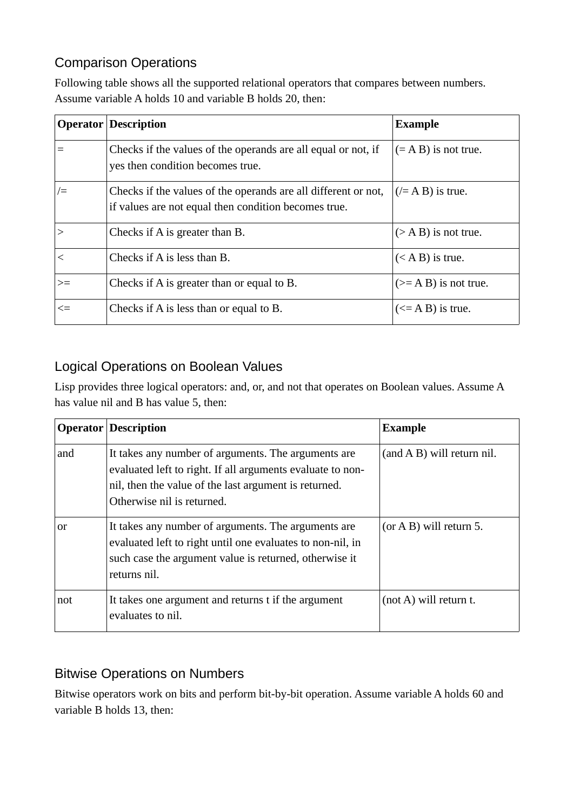## Comparison Operations

Following table shows all the supported relational operators that compares between numbers. Assume variable A holds 10 and variable B holds 20, then:

|        | <b>Operator   Description</b>                                                                                          | <b>Example</b>          |
|--------|------------------------------------------------------------------------------------------------------------------------|-------------------------|
|        | Checks if the values of the operands are all equal or not, if<br>yes then condition becomes true.                      | $(= A B)$ is not true.  |
| $/=\,$ | Checks if the values of the operands are all different or not,<br>if values are not equal then condition becomes true. | $($ = A B) is true.     |
| $\,>$  | Checks if A is greater than B.                                                                                         | $($ > A B) is not true. |
| $\lt$  | Checks if A is less than B.                                                                                            | $(A B)$ is true.        |
| $>=$   | Checks if A is greater than or equal to B.                                                                             | $(>= A B)$ is not true. |
| $\leq$ | Checks if A is less than or equal to B.                                                                                | $(\leq$ A B) is true.   |

## Logical Operations on Boolean Values

Lisp provides three logical operators: and, or, and not that operates on Boolean values. Assume A has value nil and B has value 5, then:

|     | <b>Operator Description</b>                                                                                                                                                                              | <b>Example</b>               |
|-----|----------------------------------------------------------------------------------------------------------------------------------------------------------------------------------------------------------|------------------------------|
| and | It takes any number of arguments. The arguments are<br>evaluated left to right. If all arguments evaluate to non-<br>nil, then the value of the last argument is returned.<br>Otherwise nil is returned. | $(and A B)$ will return nil. |
| or  | It takes any number of arguments. The arguments are<br>evaluated left to right until one evaluates to non-nil, in<br>such case the argument value is returned, otherwise it<br>returns nil.              | $(or AB)$ will return 5.     |
| not | It takes one argument and returns t if the argument<br>evaluates to nil.                                                                                                                                 | $(not A)$ will return t.     |

#### Bitwise Operations on Numbers

Bitwise operators work on bits and perform bit-by-bit operation. Assume variable A holds 60 and variable B holds 13, then: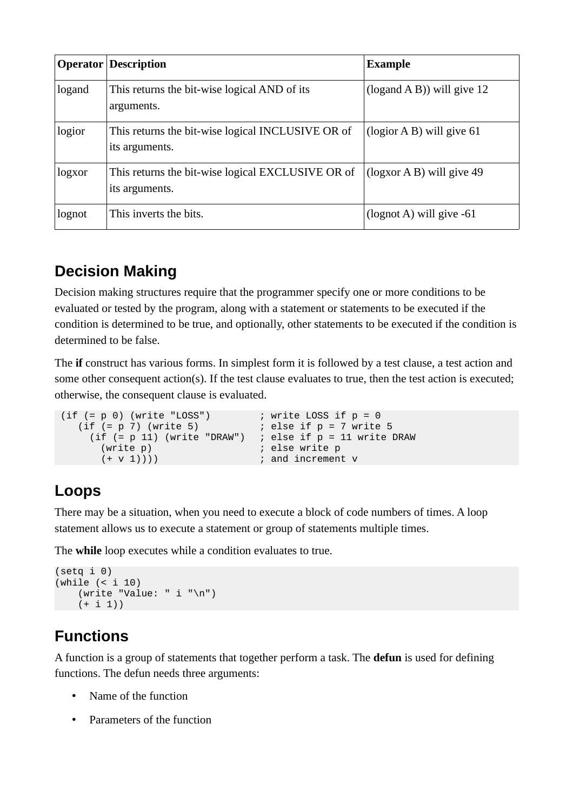|        | <b>Operator   Description</b>                                       | <b>Example</b>               |
|--------|---------------------------------------------------------------------|------------------------------|
| logand | This returns the bit-wise logical AND of its<br>arguments.          | (logand $A$ B)) will give 12 |
| logior | This returns the bit-wise logical INCLUSIVE OR of<br>its arguments. | (logior $A B$ ) will give 61 |
| logxor | This returns the bit-wise logical EXCLUSIVE OR of<br>its arguments. | $(\log x$ A B) will give 49  |
| lognot | This inverts the bits.                                              | (lognot A) will give $-61$   |

# **Decision Making**

Decision making structures require that the programmer specify one or more conditions to be evaluated or tested by the program, along with a statement or statements to be executed if the condition is determined to be true, and optionally, other statements to be executed if the condition is determined to be false.

The **if** construct has various forms. In simplest form it is followed by a test clause, a test action and some other consequent action(s). If the test clause evaluates to true, then the test action is executed; otherwise, the consequent clause is evaluated.

```
(if (= p 0) (write "LOSS") ; write LOSS if p = 0<br>(if (= p 7) (write 5) ; else if p = 7 write
                                                 %; else if p = 7 write 5<br>; else if p = 11 write DRAW
       (if (= p 11) (write "DRAW")(write p) ; else write p<br>(+ v 1)))) ; and increment
                                                  ; and increment v
```
## **Loops**

There may be a situation, when you need to execute a block of code numbers of times. A loop statement allows us to execute a statement or group of statements multiple times.

The **while** loop executes while a condition evaluates to true.

```
(setq i 0)
(while (< i 10)
    (write "Value: " i "\n")
   (+ i 1)
```
# **Functions**

A function is a group of statements that together perform a task. The **defun** is used for defining functions. The defun needs three arguments:

- Name of the function
- Parameters of the function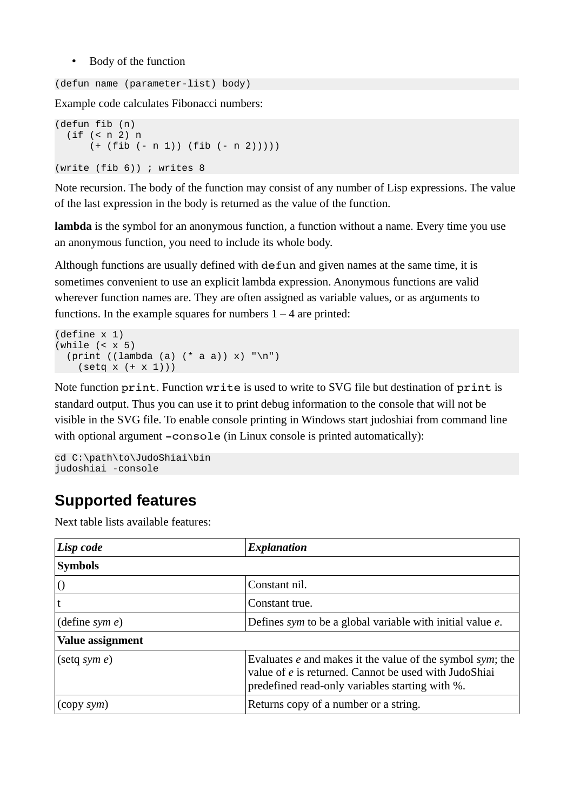• Body of the function

(defun name (parameter-list) body)

Example code calculates Fibonacci numbers:

(defun fib (n) (if (< n 2) n  $(+ (fib (- n 1)) (fib (- n 2))))$ 

```
(write (fib 6)) ; writes 8
```
Note recursion. The body of the function may consist of any number of Lisp expressions. The value of the last expression in the body is returned as the value of the function.

**lambda** is the symbol for an anonymous function, a function without a name. Every time you use an anonymous function, you need to include its whole body.

Although functions are usually defined with defun and given names at the same time, it is sometimes convenient to use an explicit lambda expression. Anonymous functions are valid wherever function names are. They are often assigned as variable values, or as arguments to functions. In the example squares for numbers  $1 - 4$  are printed:

```
(define x 1)
(\text{while } (< x 5)) (print ((lambda (a) (* a a)) x) "\n")
    (setq \times (+ \times 1)))
```
Note function print. Function write is used to write to SVG file but destination of print is standard output. Thus you can use it to print debug information to the console that will not be visible in the SVG file. To enable console printing in Windows start judoshiai from command line with optional argument -console (in Linux console is printed automatically):

```
cd C:\path\to\JudoShiai\bin
judoshiai -console
```
## **Supported features**

Next table lists available features:

| Lisp code              | <b>Explanation</b>                                                                                                                                                                   |  |
|------------------------|--------------------------------------------------------------------------------------------------------------------------------------------------------------------------------------|--|
| <b>Symbols</b>         |                                                                                                                                                                                      |  |
|                        | Constant nil.                                                                                                                                                                        |  |
|                        | Constant true.                                                                                                                                                                       |  |
| (define sym e)         | Defines sym to be a global variable with initial value e.                                                                                                                            |  |
| Value assignment       |                                                                                                                                                                                      |  |
| $(\text{setq } sym e)$ | Evaluates <i>e</i> and makes it the value of the symbol <i>sym</i> ; the<br>value of e is returned. Cannot be used with JudoShiai<br>predefined read-only variables starting with %. |  |
| (copy sym)             | Returns copy of a number or a string.                                                                                                                                                |  |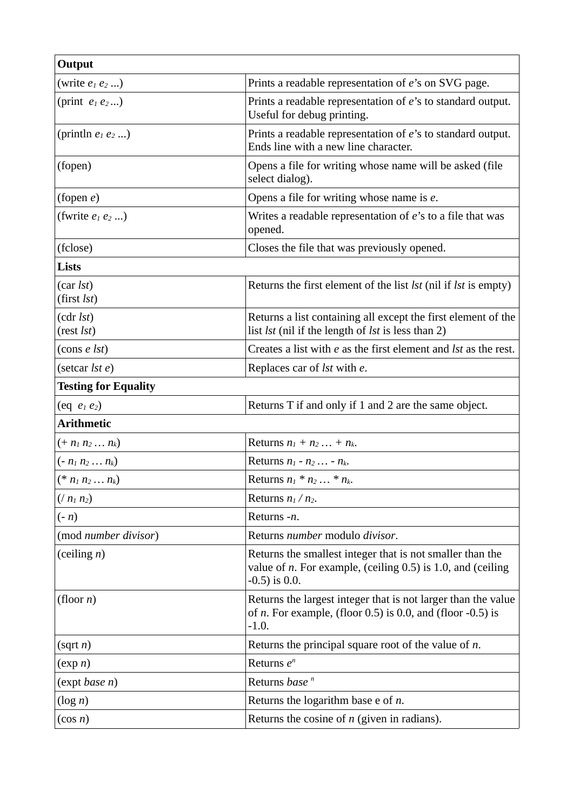| Output                                   |                                                                                                                                                 |
|------------------------------------------|-------------------------------------------------------------------------------------------------------------------------------------------------|
| (write $e_1 e_2 $ )                      | Prints a readable representation of e's on SVG page.                                                                                            |
| (print $e_1 e_2 $ )                      | Prints a readable representation of $e$ 's to standard output.<br>Useful for debug printing.                                                    |
| (println $e_1 e_2 $ )                    | Prints a readable representation of $e$ 's to standard output.<br>Ends line with a new line character.                                          |
| (fopen)                                  | Opens a file for writing whose name will be asked (file<br>select dialog).                                                                      |
| (fopen $e$ )                             | Opens a file for writing whose name is e.                                                                                                       |
| (fwrite $e_1 e_2 $ )                     | Writes a readable representation of $e$ 's to a file that was<br>opened.                                                                        |
| (fclose)                                 | Closes the file that was previously opened.                                                                                                     |
| <b>Lists</b>                             |                                                                                                                                                 |
| (car <i>lst</i> )<br>(first <i>lst</i> ) | Returns the first element of the list <i>lst</i> (nil if <i>lst</i> is empty)                                                                   |
| (cdr <i>lst</i> )<br>(rest lst)          | Returns a list containing all except the first element of the<br>list <i>lst</i> (nil if the length of <i>lst</i> is less than 2)               |
| (cons e lst)                             | Creates a list with e as the first element and lst as the rest.                                                                                 |
| (setcar $lst e$ )                        | Replaces car of <i>lst</i> with <i>e</i> .                                                                                                      |
| <b>Testing for Equality</b>              |                                                                                                                                                 |
| (eq $e_1e_2$ )                           | Returns T if and only if 1 and 2 are the same object.                                                                                           |
| <b>Arithmetic</b>                        |                                                                                                                                                 |
| $(+ n_1 n_2  n_k)$                       | Returns $n_1 + n_2  + n_k$ .                                                                                                                    |
| $(-n_1 n_2  n_k)$                        | Returns $n_1 - n_2  - n_k$ .                                                                                                                    |
| $(* n_1 n_2  n_k)$                       | Returns $n_1 * n_2  * n_k$ .                                                                                                                    |
| $( n_1 n_2 )$                            | Returns $n_1/n_2$ .                                                                                                                             |
| $(-n)$                                   | Returns -n.                                                                                                                                     |
| (mod number divisor)                     | Returns number modulo divisor.                                                                                                                  |
| (ceiling $n$ )                           | Returns the smallest integer that is not smaller than the<br>value of $n$ . For example, (ceiling 0.5) is 1.0, and (ceiling<br>$-0.5$ ) is 0.0. |
| (floor $n$ )                             | Returns the largest integer that is not larger than the value<br>of $n$ . For example, (floor 0.5) is 0.0, and (floor -0.5) is<br>$-1.0.$       |
| (sqrt n)                                 | Returns the principal square root of the value of $n$ .                                                                                         |
| (exp n)                                  | Returns $e^n$                                                                                                                                   |
| (expt base n)                            | Returns base <sup>n</sup>                                                                                                                       |
| (log n)                                  | Returns the logarithm base $e$ of $n$ .                                                                                                         |
| $(\cos n)$                               | Returns the cosine of $n$ (given in radians).                                                                                                   |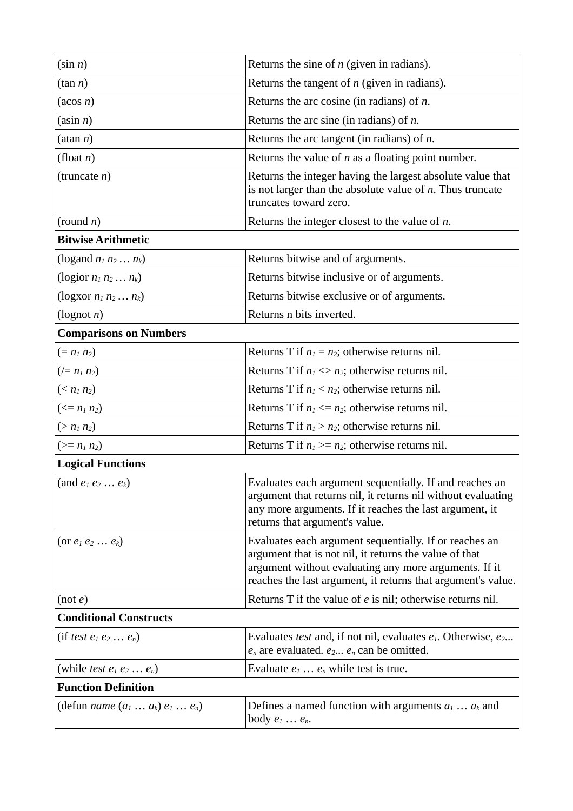| $(\sin n)$                                 | Returns the sine of $n$ (given in radians).                                                                                                                                                                                               |  |
|--------------------------------------------|-------------------------------------------------------------------------------------------------------------------------------------------------------------------------------------------------------------------------------------------|--|
| $(\tan n)$                                 | Returns the tangent of $n$ (given in radians).                                                                                                                                                                                            |  |
| $(\arccos n)$                              | Returns the arc cosine (in radians) of $n$ .                                                                                                                                                                                              |  |
| $(\text{asin } n)$                         | Returns the arc sine (in radians) of $n$ .                                                                                                                                                                                                |  |
| (atan n)                                   | Returns the arc tangent (in radians) of $n$ .                                                                                                                                                                                             |  |
| (float n)                                  | Returns the value of $n$ as a floating point number.                                                                                                                                                                                      |  |
| (truncate $n$ )                            | Returns the integer having the largest absolute value that<br>is not larger than the absolute value of $n$ . Thus truncate<br>truncates toward zero.                                                                                      |  |
| (round $n$ )                               | Returns the integer closest to the value of $n$ .                                                                                                                                                                                         |  |
| <b>Bitwise Arithmetic</b>                  |                                                                                                                                                                                                                                           |  |
| (logand $n_1$ $n_2$ $n_k$ )                | Returns bitwise and of arguments.                                                                                                                                                                                                         |  |
| (logior $n_1$ $n_2$ $n_k$ )                | Returns bitwise inclusive or of arguments.                                                                                                                                                                                                |  |
| (logxor $n_1$ $n_2$ $n_k$ )                | Returns bitwise exclusive or of arguments.                                                                                                                                                                                                |  |
| (lognot n)                                 | Returns n bits inverted.                                                                                                                                                                                                                  |  |
| <b>Comparisons on Numbers</b>              |                                                                                                                                                                                                                                           |  |
| $(= n_1 n_2)$                              | Returns T if $n_1 = n_2$ ; otherwise returns nil.                                                                                                                                                                                         |  |
| $(1 = n_1 n_2)$                            | Returns T if $n_1 \leq n_2$ ; otherwise returns nil.                                                                                                                                                                                      |  |
| $(n_1 n_2)$                                | Returns T if $n_1 < n_2$ ; otherwise returns nil.                                                                                                                                                                                         |  |
| $\left(\leq n_1 n_2\right)$                | Returns T if $n_1 \leq n_2$ ; otherwise returns nil.                                                                                                                                                                                      |  |
| $(> n_1 n_2)$                              | Returns T if $n_1 > n_2$ ; otherwise returns nil.                                                                                                                                                                                         |  |
| $(>= n_1 n_2)$                             | Returns T if $n_1 \geq n_2$ ; otherwise returns nil.                                                                                                                                                                                      |  |
| <b>Logical Functions</b>                   |                                                                                                                                                                                                                                           |  |
| (and $e_1 e_2  e_k$ )                      | Evaluates each argument sequentially. If and reaches an<br>argument that returns nil, it returns nil without evaluating<br>any more arguments. If it reaches the last argument, it<br>returns that argument's value.                      |  |
| (or $e_1 e_2  e_k$ )                       | Evaluates each argument sequentially. If or reaches an<br>argument that is not nil, it returns the value of that<br>argument without evaluating any more arguments. If it<br>reaches the last argument, it returns that argument's value. |  |
| (not e)                                    | Returns T if the value of $e$ is nil; otherwise returns nil.                                                                                                                                                                              |  |
| <b>Conditional Constructs</b>              |                                                                                                                                                                                                                                           |  |
| (if test $e_1 e_2 \ldots e_n$ )            | Evaluates test and, if not nil, evaluates $e_1$ . Otherwise, $e_2$<br>$e_n$ are evaluated. $e_2 e_n$ can be omitted.                                                                                                                      |  |
| (while test $e_1 e_2 \ldots e_n$ )         | Evaluate $e_1 \ldots e_n$ while test is true.                                                                                                                                                                                             |  |
| <b>Function Definition</b>                 |                                                                                                                                                                                                                                           |  |
| (defun <i>name</i> $(a_1  a_k) e_1  e_n$ ) | Defines a named function with arguments $a_1 \ldots a_k$ and<br>body $e_1 \ldots e_n$ .                                                                                                                                                   |  |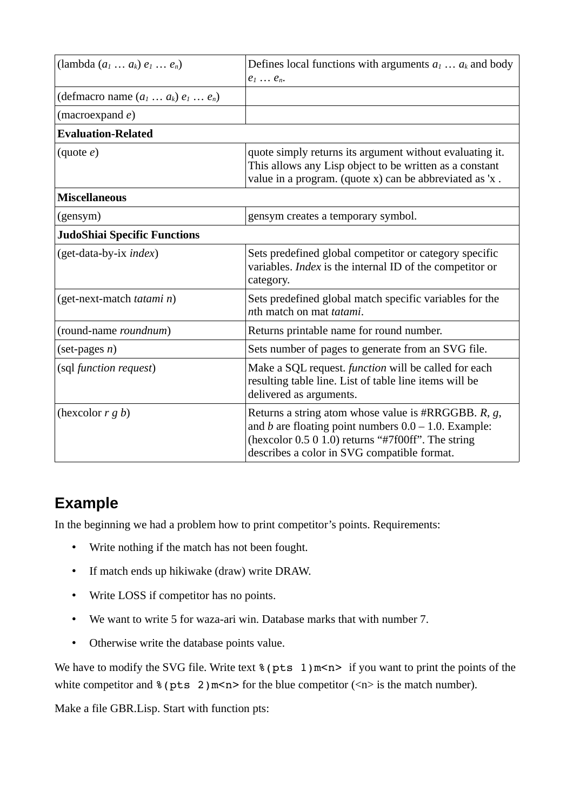| (lambda $(a_1  a_k) e_1  e_n$ )                      | Defines local functions with arguments $a_1 \ldots a_k$ and body<br>$e_1 \ldots e_n$                                                                                                                                           |  |  |  |
|------------------------------------------------------|--------------------------------------------------------------------------------------------------------------------------------------------------------------------------------------------------------------------------------|--|--|--|
| (defmacro name $(a_1 \ldots a_k)$ $e_1 \ldots e_n$ ) |                                                                                                                                                                                                                                |  |  |  |
| (macroexpand e)                                      |                                                                                                                                                                                                                                |  |  |  |
| <b>Evaluation-Related</b>                            |                                                                                                                                                                                                                                |  |  |  |
| $quote$ <i>e</i> )                                   | quote simply returns its argument without evaluating it.<br>This allows any Lisp object to be written as a constant<br>value in a program. (quote x) can be abbreviated as 'x.                                                 |  |  |  |
| <b>Miscellaneous</b>                                 |                                                                                                                                                                                                                                |  |  |  |
| (gensym)                                             | gensym creates a temporary symbol.                                                                                                                                                                                             |  |  |  |
| JudoShiai Specific Functions                         |                                                                                                                                                                                                                                |  |  |  |
| (get-data-by-ix index)                               | Sets predefined global competitor or category specific<br>variables. Index is the internal ID of the competitor or<br>category.                                                                                                |  |  |  |
| (get-next-match tatami n)                            | Sets predefined global match specific variables for the<br>nth match on mat tatami.                                                                                                                                            |  |  |  |
| (round-name roundnum)                                | Returns printable name for round number.                                                                                                                                                                                       |  |  |  |
| $(set-pages n)$                                      | Sets number of pages to generate from an SVG file.                                                                                                                                                                             |  |  |  |
| (sql function request)                               | Make a SQL request. function will be called for each<br>resulting table line. List of table line items will be<br>delivered as arguments.                                                                                      |  |  |  |
| (hexcolor $r$ $g$ $b$ )                              | Returns a string atom whose value is $\#RRGGBB$ . R, g,<br>and <i>b</i> are floating point numbers $0.0 - 1.0$ . Example:<br>(hexcolor 0.5 0 1.0) returns "#7f00ff". The string<br>describes a color in SVG compatible format. |  |  |  |

## **Example**

In the beginning we had a problem how to print competitor's points. Requirements:

- Write nothing if the match has not been fought.
- If match ends up hikiwake (draw) write DRAW.
- Write LOSS if competitor has no points.
- We want to write 5 for waza-ari win. Database marks that with number 7.
- Otherwise write the database points value.

We have to modify the SVG file. Write text  $%$  (pts 1)m<n> if you want to print the points of the white competitor and  $%$  (pts 2)m<n> for the blue competitor (<n> is the match number).

Make a file GBR.Lisp. Start with function pts: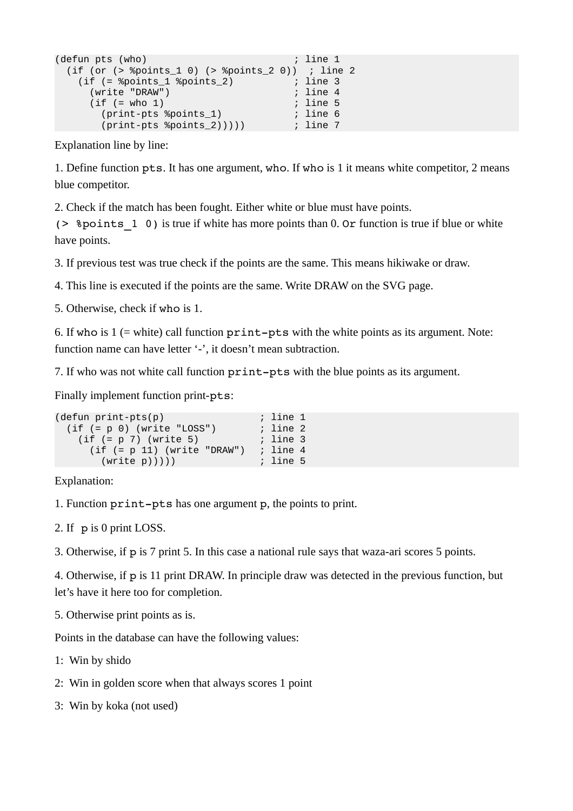```
(defun pts (who) ; line 1
 (if (or (> %points_1 0) (> %points_2 0)) ; line 2
    (if (= %points_1 %points_2) ; line 3<br>(write "DRAW") : line 4
       (write "DRAW") <br>(if (= who 1) : line 5
       \begin{array}{ccc} \dot{f} & (= \text{ who } 1) & ; & \text{line } 5 \\ \text{(print-pts %points 1)} & ; & \text{line } 6 \end{array}(print-pts) %points 1)
          (print-pts %points_2))))) ; line 7
```
Explanation line by line:

1. Define function pts. It has one argument, who. If who is 1 it means white competitor, 2 means blue competitor.

2. Check if the match has been fought. Either white or blue must have points.

( $>$  % points 1 0) is true if white has more points than 0. Or function is true if blue or white have points.

3. If previous test was true check if the points are the same. This means hikiwake or draw.

4. This line is executed if the points are the same. Write DRAW on the SVG page.

5. Otherwise, check if who is 1.

6. If who is  $1$  (= white) call function  $print -ots$  with the white points as its argument. Note: function name can have letter '-', it doesn't mean subtraction.

7. If who was not white call function  $print -pts$  with the blue points as its argument.

Finally implement function print-pts:

| $(detun print-pts(p))$        |  | ; line 1 |  |
|-------------------------------|--|----------|--|
| $(if (= p 0) (write "LOSS")$  |  | ; line 2 |  |
| $(if (= p 7) (write 5)$       |  | ; line 3 |  |
| $(if (= p 11) (write "DRAW")$ |  | ; line 4 |  |
| (write p))))                  |  | ; line 5 |  |

Explanation:

1. Function  $print -pts$  has one argument  $p$ , the points to print.

2. If p is 0 print LOSS.

3. Otherwise, if p is 7 print 5. In this case a national rule says that waza-ari scores 5 points.

4. Otherwise, if p is 11 print DRAW. In principle draw was detected in the previous function, but let's have it here too for completion.

5. Otherwise print points as is.

Points in the database can have the following values:

1: Win by shido

- 2: Win in golden score when that always scores 1 point
- 3: Win by koka (not used)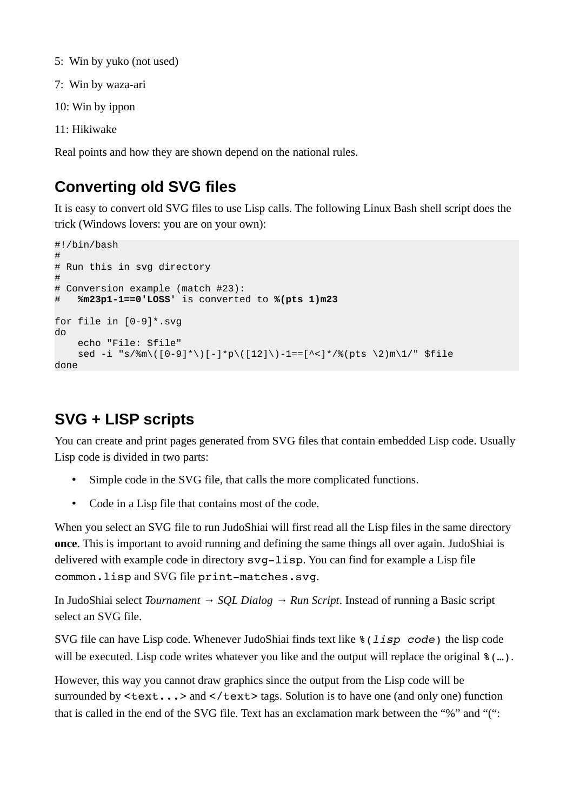- 5: Win by yuko (not used)
- 7: Win by waza-ari
- 10: Win by ippon
- 11: Hikiwake

Real points and how they are shown depend on the national rules.

# **Converting old SVG files**

It is easy to convert old SVG files to use Lisp calls. The following Linux Bash shell script does the trick (Windows lovers: you are on your own):

```
#!/bin/bash
#
# Run this in svg directory
#
# Conversion example (match #23):
    # %m23p1-1==0'LOSS' is converted to %(pts 1)m23
for file in [0-9]*.svg
do
     echo "File: $file"
     sed -i "s/%m\([0-9]*\)[-]*p\([12]\)-1==[^<]*/%(pts \2)m\1/" $file
done
```
## **SVG + LISP scripts**

You can create and print pages generated from SVG files that contain embedded Lisp code. Usually Lisp code is divided in two parts:

- Simple code in the SVG file, that calls the more complicated functions.
- Code in a Lisp file that contains most of the code.

When you select an SVG file to run JudoShiai will first read all the Lisp files in the same directory **once**. This is important to avoid running and defining the same things all over again. JudoShiai is delivered with example code in directory  $\texttt{svq-lisp}$ . You can find for example a Lisp file common.lisp and SVG file print-matches.svg.

In JudoShiai select *Tournament → SQL Dialog → Run Script*. Instead of running a Basic script select an SVG file.

SVG file can have Lisp code. Whenever JudoShiai finds text like %(*lisp code*) the lisp code will be executed. Lisp code writes whatever you like and the output will replace the original  $\delta$  (...).

However, this way you cannot draw graphics since the output from the Lisp code will be surrounded by  $\text{text...}$  and  $\text{text...}$  and  $\text{text...}$  tags. Solution is to have one (and only one) function that is called in the end of the SVG file. Text has an exclamation mark between the "%" and "(":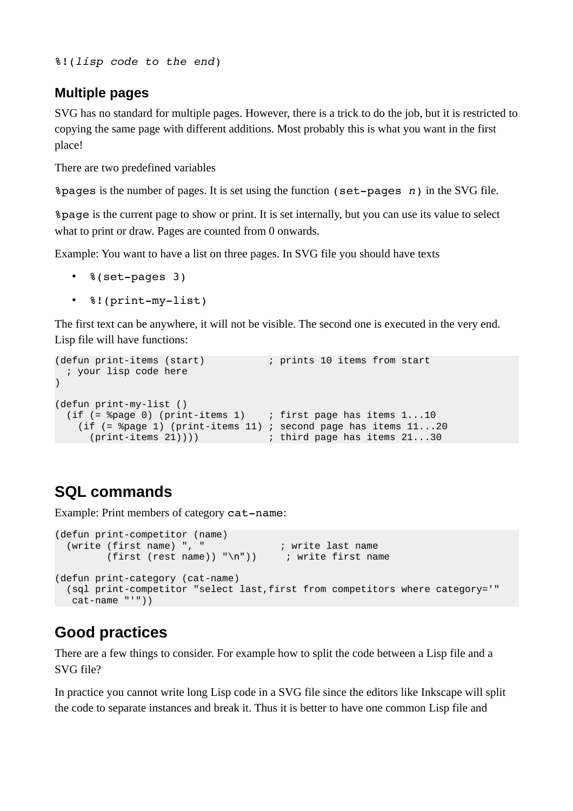%!(*lisp code to the end*)

#### **Multiple pages**

SVG has no standard for multiple pages. However, there is a trick to do the job, but it is restricted to copying the same page with different additions. Most probably this is what you want in the first place!

There are two predefined variables

%pages is the number of pages. It is set using the function (set-pages *n*) in the SVG file.

%page is the current page to show or print. It is set internally, but you can use its value to select what to print or draw. Pages are counted from 0 onwards.

Example: You want to have a list on three pages. In SVG file you should have texts

- $\cdot$  % (set-pages 3)
- %!(print-my-list)

The first text can be anywhere, it will not be visible. The second one is executed in the very end. Lisp file will have functions:

```
(defun print-items (start) ; prints 10 items from start
  ; your lisp code here
)
(defun print-my-list ()
 (if (= %page 0) (print-items 1) ; first page has items 1...10
 (if (= %page 1) (print-items 11) ; second page has items 11...20
      (print-items 21)))) ; third page has items 21...30
```
## **SQL commands**

Example: Print members of category cat-name:

```
(defun print-competitor (name)
 (write (first name) ", " ; write last name
         (first (rest name)) "\n")) ; write first name
(defun print-category (cat-name)
  (sql print-competitor "select last,first from competitors where category='"
   cat-name "'"))
```
## **Good practices**

There are a few things to consider. For example how to split the code between a Lisp file and a SVG file?

In practice you cannot write long Lisp code in a SVG file since the editors like Inkscape will split the code to separate instances and break it. Thus it is better to have one common Lisp file and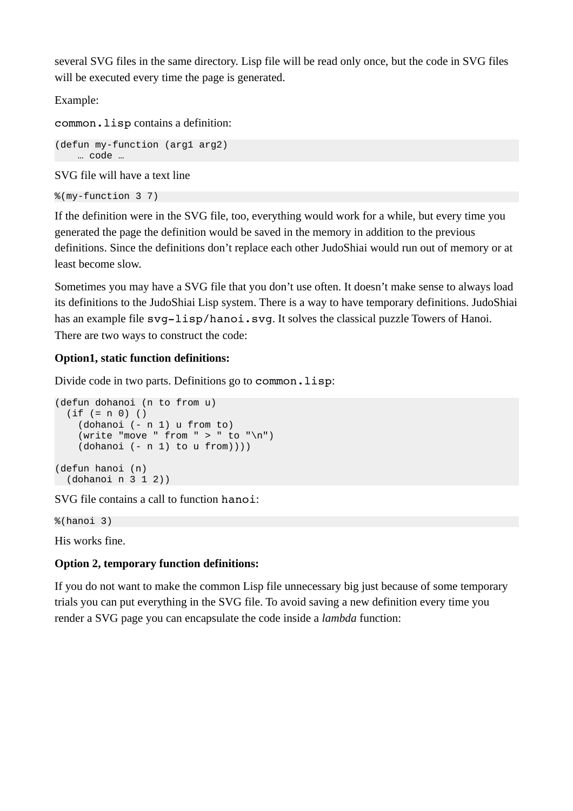several SVG files in the same directory. Lisp file will be read only once, but the code in SVG files will be executed every time the page is generated.

Example:

common.lisp contains a definition:

```
(defun my-function (arg1 arg2)
    … code …
```
SVG file will have a text line

```
%(my-function 3 7)
```
If the definition were in the SVG file, too, everything would work for a while, but every time you generated the page the definition would be saved in the memory in addition to the previous definitions. Since the definitions don't replace each other JudoShiai would run out of memory or at least become slow.

Sometimes you may have a SVG file that you don't use often. It doesn't make sense to always load its definitions to the JudoShiai Lisp system. There is a way to have temporary definitions. JudoShiai has an example file svg-lisp/hanoi.svg. It solves the classical puzzle Towers of Hanoi. There are two ways to construct the code:

#### **Option1, static function definitions:**

Divide code in two parts. Definitions go to common. lisp:

```
(defun dohanoi (n to from u)
   (if (= n 0) ()
     (dohanoi (- n 1) u from to)
    (n^2 + n^2) (n + 1)^2 (n + 1)^2 (n + 1)^2 (n + 1)^2 (n + 1)^2 (dohanoi (- n 1) to u from))))
(defun hanoi (n)
   (dohanoi n 3 1 2))
```
SVG file contains a call to function hanoi:

%(hanoi 3)

His works fine.

#### **Option 2, temporary function definitions:**

If you do not want to make the common Lisp file unnecessary big just because of some temporary trials you can put everything in the SVG file. To avoid saving a new definition every time you render a SVG page you can encapsulate the code inside a *lambda* function: